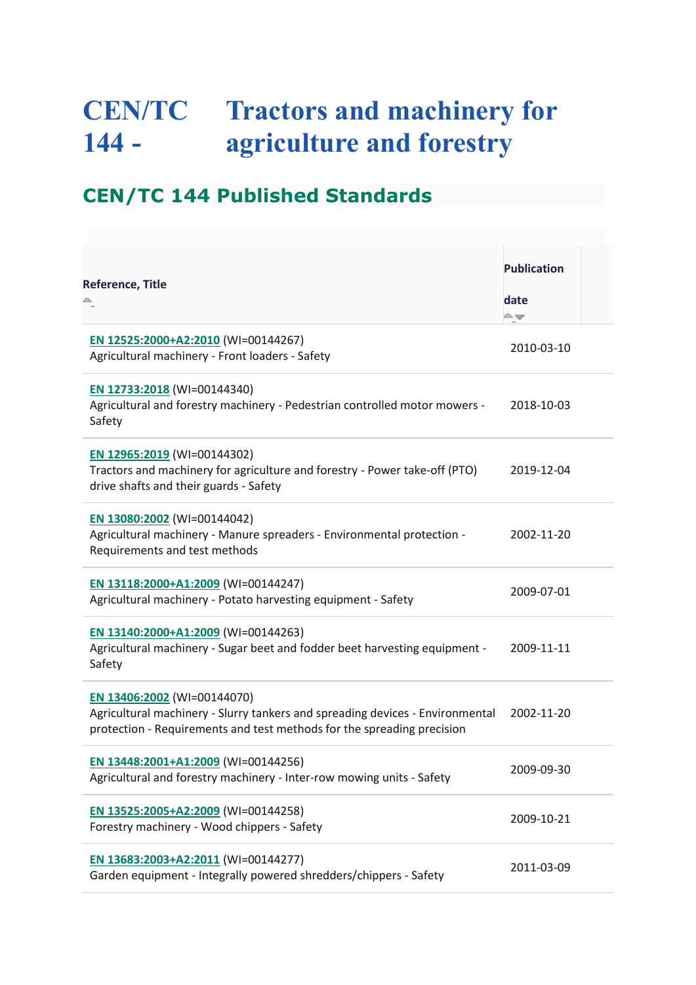## **CEN/TC 144 - Tractors and machinery for agriculture and forestry**

## **CEN/TC 144 Published Standards**

| <b>Reference, Title</b>                                                                                                                                                                | <b>Publication</b> |  |
|----------------------------------------------------------------------------------------------------------------------------------------------------------------------------------------|--------------------|--|
|                                                                                                                                                                                        | date<br>≏≂         |  |
| EN 12525:2000+A2:2010 (WI=00144267)<br>Agricultural machinery - Front loaders - Safety                                                                                                 | 2010-03-10         |  |
| EN 12733:2018 (WI=00144340)<br>Agricultural and forestry machinery - Pedestrian controlled motor mowers -<br>Safety                                                                    | 2018-10-03         |  |
| EN 12965:2019 (WI=00144302)<br>Tractors and machinery for agriculture and forestry - Power take-off (PTO)<br>drive shafts and their guards - Safety                                    | 2019-12-04         |  |
| EN 13080:2002 (WI=00144042)<br>Agricultural machinery - Manure spreaders - Environmental protection -<br>Requirements and test methods                                                 | 2002-11-20         |  |
| EN 13118:2000+A1:2009 (WI=00144247)<br>Agricultural machinery - Potato harvesting equipment - Safety                                                                                   | 2009-07-01         |  |
| EN 13140:2000+A1:2009 (WI=00144263)<br>Agricultural machinery - Sugar beet and fodder beet harvesting equipment -<br>Safety                                                            | 2009-11-11         |  |
| EN 13406:2002 (WI=00144070)<br>Agricultural machinery - Slurry tankers and spreading devices - Environmental<br>protection - Requirements and test methods for the spreading precision | 2002-11-20         |  |
| EN 13448:2001+A1:2009 (WI=00144256)<br>Agricultural and forestry machinery - Inter-row mowing units - Safety                                                                           | 2009-09-30         |  |
| EN 13525:2005+A2:2009 (WI=00144258)<br>Forestry machinery - Wood chippers - Safety                                                                                                     | 2009-10-21         |  |
| EN 13683:2003+A2:2011 (WI=00144277)<br>Garden equipment - Integrally powered shredders/chippers - Safety                                                                               | 2011-03-09         |  |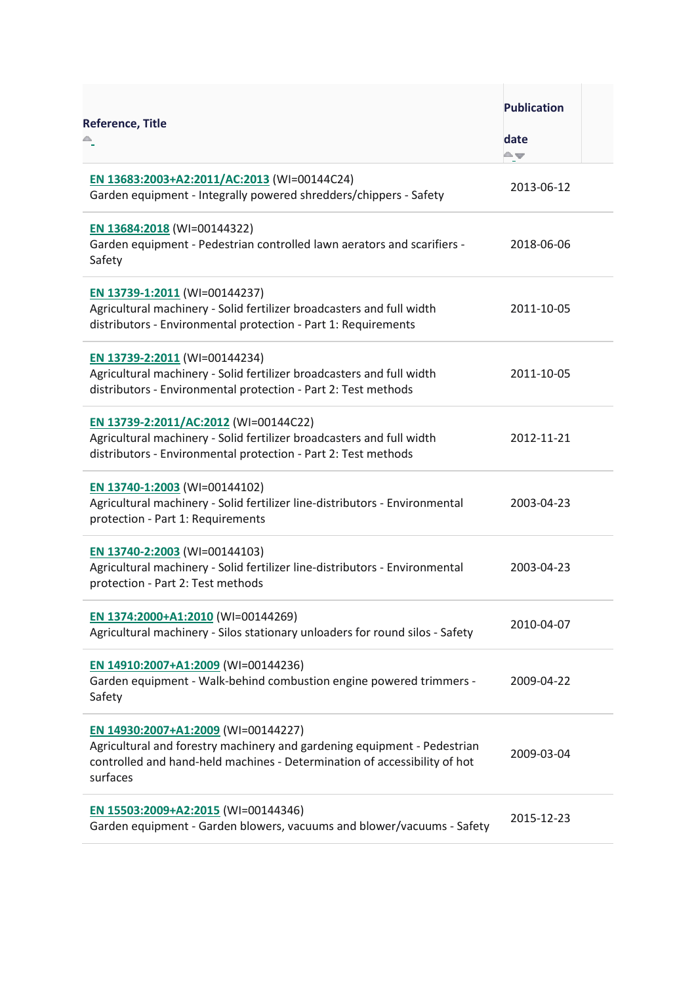| <b>Reference, Title</b>                                                                                                                                                                                  | <b>Publication</b><br>date<br>∸≂ |  |
|----------------------------------------------------------------------------------------------------------------------------------------------------------------------------------------------------------|----------------------------------|--|
| EN 13683:2003+A2:2011/AC:2013 (WI=00144C24)<br>Garden equipment - Integrally powered shredders/chippers - Safety                                                                                         | 2013-06-12                       |  |
| EN 13684:2018 (WI=00144322)<br>Garden equipment - Pedestrian controlled lawn aerators and scarifiers -<br>Safety                                                                                         | 2018-06-06                       |  |
| EN 13739-1:2011 (WI=00144237)<br>Agricultural machinery - Solid fertilizer broadcasters and full width<br>distributors - Environmental protection - Part 1: Requirements                                 | 2011-10-05                       |  |
| EN 13739-2:2011 (WI=00144234)<br>Agricultural machinery - Solid fertilizer broadcasters and full width<br>distributors - Environmental protection - Part 2: Test methods                                 | 2011-10-05                       |  |
| EN 13739-2:2011/AC:2012 (WI=00144C22)<br>Agricultural machinery - Solid fertilizer broadcasters and full width<br>distributors - Environmental protection - Part 2: Test methods                         | 2012-11-21                       |  |
| EN 13740-1:2003 (WI=00144102)<br>Agricultural machinery - Solid fertilizer line-distributors - Environmental<br>protection - Part 1: Requirements                                                        | 2003-04-23                       |  |
| EN 13740-2:2003 (WI=00144103)<br>Agricultural machinery - Solid fertilizer line-distributors - Environmental<br>protection - Part 2: Test methods                                                        | 2003-04-23                       |  |
| EN 1374:2000+A1:2010 (WI=00144269)<br>Agricultural machinery - Silos stationary unloaders for round silos - Safety                                                                                       | 2010-04-07                       |  |
| EN 14910:2007+A1:2009 (WI=00144236)<br>Garden equipment - Walk-behind combustion engine powered trimmers -<br>Safety                                                                                     | 2009-04-22                       |  |
| EN 14930:2007+A1:2009 (WI=00144227)<br>Agricultural and forestry machinery and gardening equipment - Pedestrian<br>controlled and hand-held machines - Determination of accessibility of hot<br>surfaces | 2009-03-04                       |  |
| EN 15503:2009+A2:2015 (WI=00144346)<br>Garden equipment - Garden blowers, vacuums and blower/vacuums - Safety                                                                                            | 2015-12-23                       |  |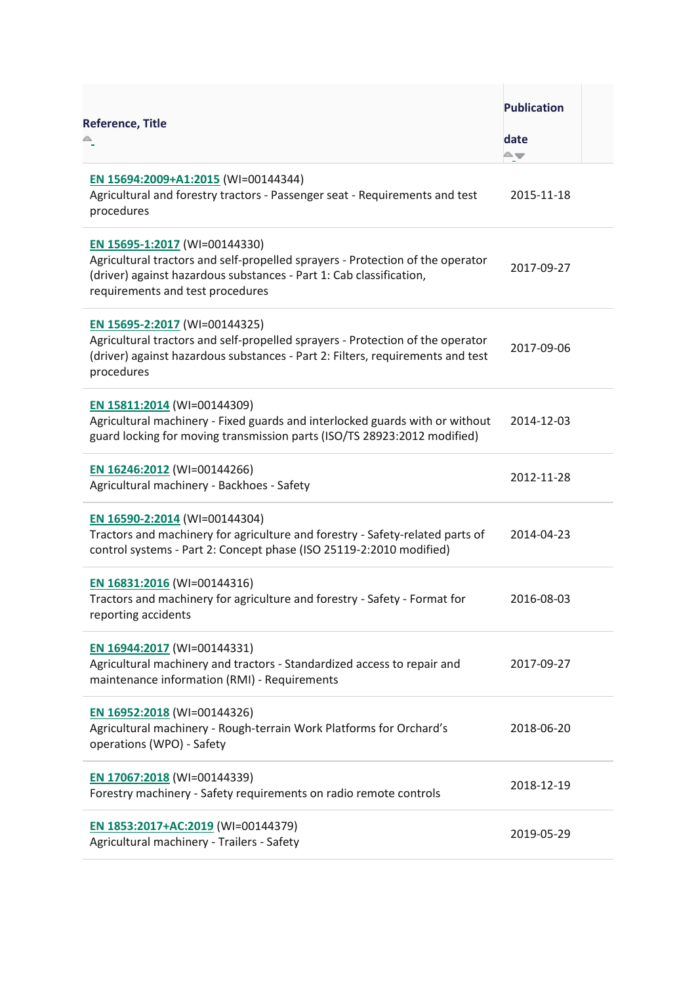| <b>Reference, Title</b>                                                                                                                                                                                                    | <b>Publication</b><br>date<br>≏≖ |  |
|----------------------------------------------------------------------------------------------------------------------------------------------------------------------------------------------------------------------------|----------------------------------|--|
| EN 15694:2009+A1:2015 (WI=00144344)<br>Agricultural and forestry tractors - Passenger seat - Requirements and test<br>procedures                                                                                           | 2015-11-18                       |  |
| EN 15695-1:2017 (WI=00144330)<br>Agricultural tractors and self-propelled sprayers - Protection of the operator<br>(driver) against hazardous substances - Part 1: Cab classification,<br>requirements and test procedures | 2017-09-27                       |  |
| EN 15695-2:2017 (WI=00144325)<br>Agricultural tractors and self-propelled sprayers - Protection of the operator<br>(driver) against hazardous substances - Part 2: Filters, requirements and test<br>procedures            | 2017-09-06                       |  |
| EN 15811:2014 (WI=00144309)<br>Agricultural machinery - Fixed guards and interlocked guards with or without<br>guard locking for moving transmission parts (ISO/TS 28923:2012 modified)                                    | 2014-12-03                       |  |
| EN 16246:2012 (WI=00144266)<br>Agricultural machinery - Backhoes - Safety                                                                                                                                                  | 2012-11-28                       |  |
| EN 16590-2:2014 (WI=00144304)<br>Tractors and machinery for agriculture and forestry - Safety-related parts of<br>control systems - Part 2: Concept phase (ISO 25119-2:2010 modified)                                      | 2014-04-23                       |  |
| EN 16831:2016 (WI=00144316)<br>Tractors and machinery for agriculture and forestry - Safety - Format for<br>reporting accidents                                                                                            | 2016-08-03                       |  |
| EN 16944:2017 (WI=00144331)<br>Agricultural machinery and tractors - Standardized access to repair and<br>maintenance information (RMI) - Requirements                                                                     | 2017-09-27                       |  |
| EN 16952:2018 (WI=00144326)<br>Agricultural machinery - Rough-terrain Work Platforms for Orchard's<br>operations (WPO) - Safety                                                                                            | 2018-06-20                       |  |
| EN 17067:2018 (WI=00144339)<br>Forestry machinery - Safety requirements on radio remote controls                                                                                                                           | 2018-12-19                       |  |
| EN 1853:2017+AC:2019 (WI=00144379)<br>Agricultural machinery - Trailers - Safety                                                                                                                                           | 2019-05-29                       |  |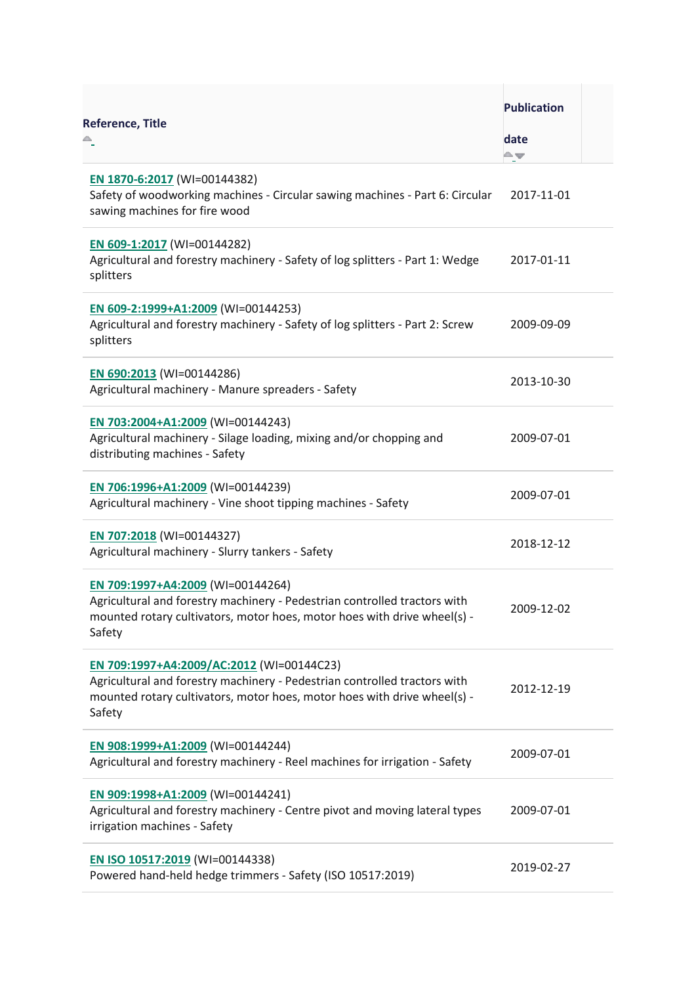| <b>Reference, Title</b>                                                                                                                                                                                      | <b>Publication</b><br>date<br>≏≖ |  |
|--------------------------------------------------------------------------------------------------------------------------------------------------------------------------------------------------------------|----------------------------------|--|
| EN 1870-6:2017 (WI=00144382)<br>Safety of woodworking machines - Circular sawing machines - Part 6: Circular<br>sawing machines for fire wood                                                                | 2017-11-01                       |  |
| EN 609-1:2017 (WI=00144282)<br>Agricultural and forestry machinery - Safety of log splitters - Part 1: Wedge<br>splitters                                                                                    | 2017-01-11                       |  |
| EN 609-2:1999+A1:2009 (WI=00144253)<br>Agricultural and forestry machinery - Safety of log splitters - Part 2: Screw<br>splitters                                                                            | 2009-09-09                       |  |
| EN 690:2013 (WI=00144286)<br>Agricultural machinery - Manure spreaders - Safety                                                                                                                              | 2013-10-30                       |  |
| EN 703:2004+A1:2009 (WI=00144243)<br>Agricultural machinery - Silage loading, mixing and/or chopping and<br>distributing machines - Safety                                                                   | 2009-07-01                       |  |
| EN 706:1996+A1:2009 (WI=00144239)<br>Agricultural machinery - Vine shoot tipping machines - Safety                                                                                                           | 2009-07-01                       |  |
| EN 707:2018 (WI=00144327)<br>Agricultural machinery - Slurry tankers - Safety                                                                                                                                | 2018-12-12                       |  |
| EN 709:1997+A4:2009 (WI=00144264)<br>Agricultural and forestry machinery - Pedestrian controlled tractors with<br>mounted rotary cultivators, motor hoes, motor hoes with drive wheel(s) -<br>Safety         | 2009-12-02                       |  |
| EN 709:1997+A4:2009/AC:2012 (WI=00144C23)<br>Agricultural and forestry machinery - Pedestrian controlled tractors with<br>mounted rotary cultivators, motor hoes, motor hoes with drive wheel(s) -<br>Safety | 2012-12-19                       |  |
| EN 908:1999+A1:2009 (WI=00144244)<br>Agricultural and forestry machinery - Reel machines for irrigation - Safety                                                                                             | 2009-07-01                       |  |
| EN 909:1998+A1:2009 (WI=00144241)<br>Agricultural and forestry machinery - Centre pivot and moving lateral types<br>irrigation machines - Safety                                                             | 2009-07-01                       |  |
| EN ISO 10517:2019 (WI=00144338)<br>Powered hand-held hedge trimmers - Safety (ISO 10517:2019)                                                                                                                | 2019-02-27                       |  |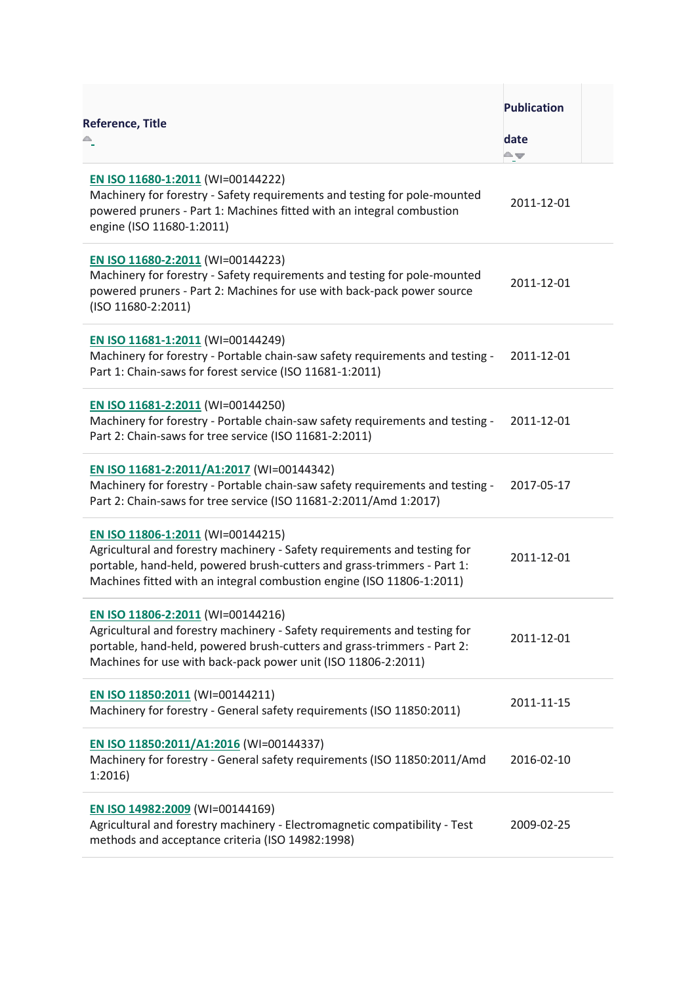| <b>Reference, Title</b>                                                                                                                                                                                                                                            | <b>Publication</b><br>date<br>≏≖ |  |
|--------------------------------------------------------------------------------------------------------------------------------------------------------------------------------------------------------------------------------------------------------------------|----------------------------------|--|
| EN ISO 11680-1:2011 (WI=00144222)<br>Machinery for forestry - Safety requirements and testing for pole-mounted<br>powered pruners - Part 1: Machines fitted with an integral combustion<br>engine (ISO 11680-1:2011)                                               | 2011-12-01                       |  |
| EN ISO 11680-2:2011 (WI=00144223)<br>Machinery for forestry - Safety requirements and testing for pole-mounted<br>powered pruners - Part 2: Machines for use with back-pack power source<br>(ISO 11680-2:2011)                                                     | 2011-12-01                       |  |
| EN ISO 11681-1:2011 (WI=00144249)<br>Machinery for forestry - Portable chain-saw safety requirements and testing -<br>Part 1: Chain-saws for forest service (ISO 11681-1:2011)                                                                                     | 2011-12-01                       |  |
| EN ISO 11681-2:2011 (WI=00144250)<br>Machinery for forestry - Portable chain-saw safety requirements and testing -<br>Part 2: Chain-saws for tree service (ISO 11681-2:2011)                                                                                       | 2011-12-01                       |  |
| EN ISO 11681-2:2011/A1:2017 (WI=00144342)<br>Machinery for forestry - Portable chain-saw safety requirements and testing -<br>Part 2: Chain-saws for tree service (ISO 11681-2:2011/Amd 1:2017)                                                                    | 2017-05-17                       |  |
| EN ISO 11806-1:2011 (WI=00144215)<br>Agricultural and forestry machinery - Safety requirements and testing for<br>portable, hand-held, powered brush-cutters and grass-trimmers - Part 1:<br>Machines fitted with an integral combustion engine (ISO 11806-1:2011) | 2011-12-01                       |  |
| EN ISO 11806-2:2011 (WI=00144216)<br>Agricultural and forestry machinery - Safety requirements and testing for<br>portable, hand-held, powered brush-cutters and grass-trimmers - Part 2:<br>Machines for use with back-pack power unit (ISO 11806-2:2011)         | 2011-12-01                       |  |
| EN ISO 11850:2011 (WI=00144211)<br>Machinery for forestry - General safety requirements (ISO 11850:2011)                                                                                                                                                           | 2011-11-15                       |  |
| EN ISO 11850:2011/A1:2016 (WI=00144337)<br>Machinery for forestry - General safety requirements (ISO 11850:2011/Amd<br>1:2016                                                                                                                                      | 2016-02-10                       |  |
| EN ISO 14982:2009 (WI=00144169)<br>Agricultural and forestry machinery - Electromagnetic compatibility - Test<br>methods and acceptance criteria (ISO 14982:1998)                                                                                                  | 2009-02-25                       |  |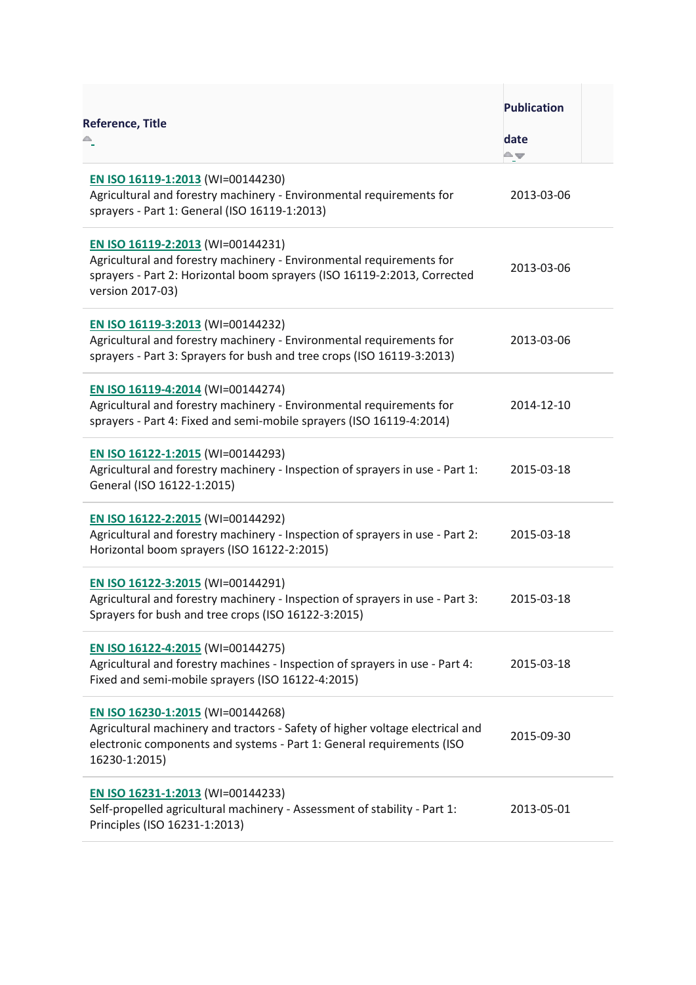| <b>Reference, Title</b>                                                                                                                                                                                      | <b>Publication</b><br>date<br>A w |  |
|--------------------------------------------------------------------------------------------------------------------------------------------------------------------------------------------------------------|-----------------------------------|--|
| EN ISO 16119-1:2013 (WI=00144230)<br>Agricultural and forestry machinery - Environmental requirements for<br>sprayers - Part 1: General (ISO 16119-1:2013)                                                   | 2013-03-06                        |  |
| EN ISO 16119-2:2013 (WI=00144231)<br>Agricultural and forestry machinery - Environmental requirements for<br>sprayers - Part 2: Horizontal boom sprayers (ISO 16119-2:2013, Corrected<br>version 2017-03)    | 2013-03-06                        |  |
| EN ISO 16119-3:2013 (WI=00144232)<br>Agricultural and forestry machinery - Environmental requirements for<br>sprayers - Part 3: Sprayers for bush and tree crops (ISO 16119-3:2013)                          | 2013-03-06                        |  |
| EN ISO 16119-4:2014 (WI=00144274)<br>Agricultural and forestry machinery - Environmental requirements for<br>sprayers - Part 4: Fixed and semi-mobile sprayers (ISO 16119-4:2014)                            | 2014-12-10                        |  |
| EN ISO 16122-1:2015 (WI=00144293)<br>Agricultural and forestry machinery - Inspection of sprayers in use - Part 1:<br>General (ISO 16122-1:2015)                                                             | 2015-03-18                        |  |
| EN ISO 16122-2:2015 (WI=00144292)<br>Agricultural and forestry machinery - Inspection of sprayers in use - Part 2:<br>Horizontal boom sprayers (ISO 16122-2:2015)                                            | 2015-03-18                        |  |
| EN ISO 16122-3:2015 (WI=00144291)<br>Agricultural and forestry machinery - Inspection of sprayers in use - Part 3:<br>Sprayers for bush and tree crops (ISO 16122-3:2015)                                    | 2015-03-18                        |  |
| EN ISO 16122-4:2015 (WI=00144275)<br>Agricultural and forestry machines - Inspection of sprayers in use - Part 4:<br>Fixed and semi-mobile sprayers (ISO 16122-4:2015)                                       | 2015-03-18                        |  |
| EN ISO 16230-1:2015 (WI=00144268)<br>Agricultural machinery and tractors - Safety of higher voltage electrical and<br>electronic components and systems - Part 1: General requirements (ISO<br>16230-1:2015) | 2015-09-30                        |  |
| EN ISO 16231-1:2013 (WI=00144233)<br>Self-propelled agricultural machinery - Assessment of stability - Part 1:<br>Principles (ISO 16231-1:2013)                                                              | 2013-05-01                        |  |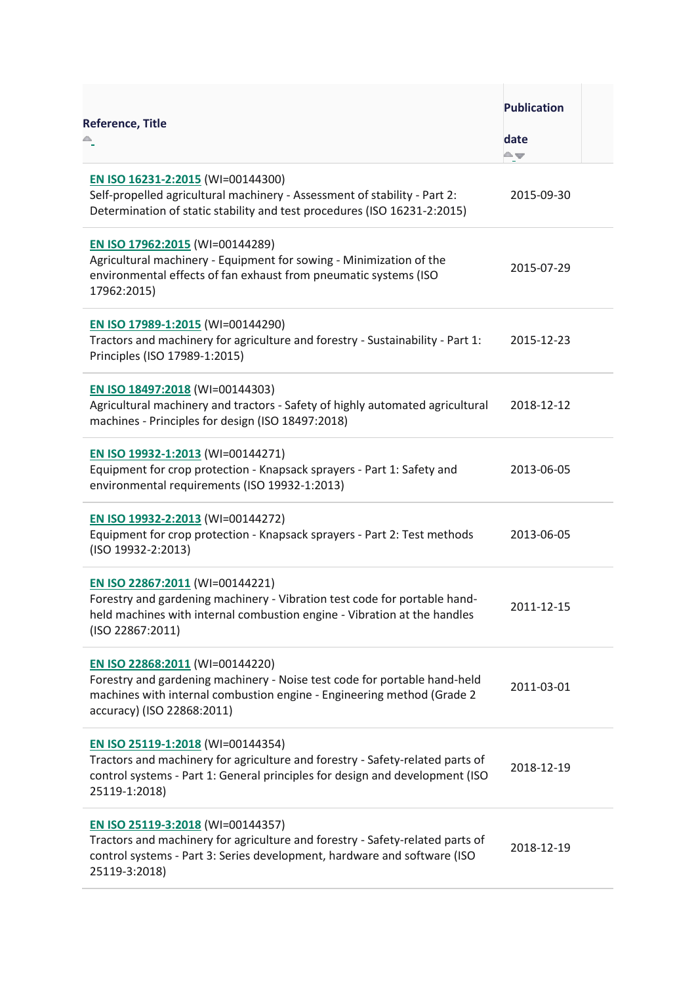| Reference, Title                                                                                                                                                                                                     | <b>Publication</b><br>date<br>≏≖ |  |
|----------------------------------------------------------------------------------------------------------------------------------------------------------------------------------------------------------------------|----------------------------------|--|
| EN ISO 16231-2:2015 (WI=00144300)<br>Self-propelled agricultural machinery - Assessment of stability - Part 2:<br>Determination of static stability and test procedures (ISO 16231-2:2015)                           | 2015-09-30                       |  |
| EN ISO 17962:2015 (WI=00144289)<br>Agricultural machinery - Equipment for sowing - Minimization of the<br>environmental effects of fan exhaust from pneumatic systems (ISO<br>17962:2015)                            | 2015-07-29                       |  |
| EN ISO 17989-1:2015 (WI=00144290)<br>Tractors and machinery for agriculture and forestry - Sustainability - Part 1:<br>Principles (ISO 17989-1:2015)                                                                 | 2015-12-23                       |  |
| EN ISO 18497:2018 (WI=00144303)<br>Agricultural machinery and tractors - Safety of highly automated agricultural<br>machines - Principles for design (ISO 18497:2018)                                                | 2018-12-12                       |  |
| EN ISO 19932-1:2013 (WI=00144271)<br>Equipment for crop protection - Knapsack sprayers - Part 1: Safety and<br>environmental requirements (ISO 19932-1:2013)                                                         | 2013-06-05                       |  |
| EN ISO 19932-2:2013 (WI=00144272)<br>Equipment for crop protection - Knapsack sprayers - Part 2: Test methods<br>(ISO 19932-2:2013)                                                                                  | 2013-06-05                       |  |
| EN ISO 22867:2011 (WI=00144221)<br>Forestry and gardening machinery - Vibration test code for portable hand-<br>held machines with internal combustion engine - Vibration at the handles<br>(ISO 22867:2011)         | 2011-12-15                       |  |
| EN ISO 22868:2011 (WI=00144220)<br>Forestry and gardening machinery - Noise test code for portable hand-held<br>machines with internal combustion engine - Engineering method (Grade 2<br>accuracy) (ISO 22868:2011) | 2011-03-01                       |  |
| EN ISO 25119-1:2018 (WI=00144354)<br>Tractors and machinery for agriculture and forestry - Safety-related parts of<br>control systems - Part 1: General principles for design and development (ISO<br>25119-1:2018)  | 2018-12-19                       |  |
| EN ISO 25119-3:2018 (WI=00144357)<br>Tractors and machinery for agriculture and forestry - Safety-related parts of<br>control systems - Part 3: Series development, hardware and software (ISO<br>25119-3:2018)      | 2018-12-19                       |  |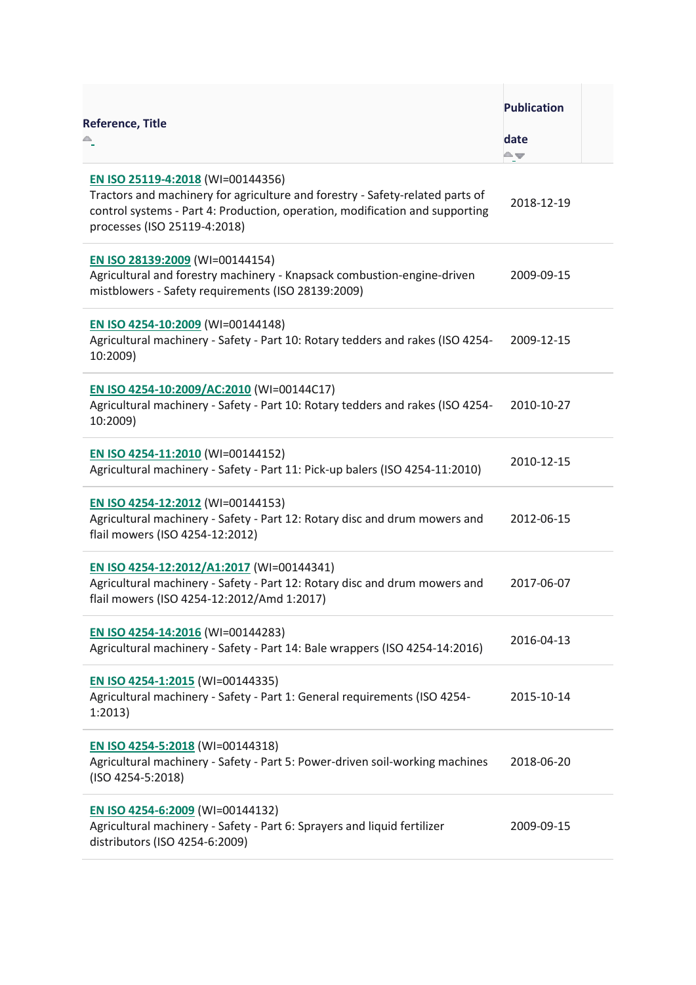| <b>Reference, Title</b>                                                                                                                                                                                                            | <b>Publication</b><br>date<br>≏≖ |  |
|------------------------------------------------------------------------------------------------------------------------------------------------------------------------------------------------------------------------------------|----------------------------------|--|
| EN ISO 25119-4:2018 (WI=00144356)<br>Tractors and machinery for agriculture and forestry - Safety-related parts of<br>control systems - Part 4: Production, operation, modification and supporting<br>processes (ISO 25119-4:2018) | 2018-12-19                       |  |
| EN ISO 28139:2009 (WI=00144154)<br>Agricultural and forestry machinery - Knapsack combustion-engine-driven<br>mistblowers - Safety requirements (ISO 28139:2009)                                                                   | 2009-09-15                       |  |
| EN ISO 4254-10:2009 (WI=00144148)<br>Agricultural machinery - Safety - Part 10: Rotary tedders and rakes (ISO 4254-<br>10:2009)                                                                                                    | 2009-12-15                       |  |
| EN ISO 4254-10:2009/AC:2010 (WI=00144C17)<br>Agricultural machinery - Safety - Part 10: Rotary tedders and rakes (ISO 4254-<br>10:2009)                                                                                            | 2010-10-27                       |  |
| EN ISO 4254-11:2010 (WI=00144152)<br>Agricultural machinery - Safety - Part 11: Pick-up balers (ISO 4254-11:2010)                                                                                                                  | 2010-12-15                       |  |
| EN ISO 4254-12:2012 (WI=00144153)<br>Agricultural machinery - Safety - Part 12: Rotary disc and drum mowers and<br>flail mowers (ISO 4254-12:2012)                                                                                 | 2012-06-15                       |  |
| EN ISO 4254-12:2012/A1:2017 (WI=00144341)<br>Agricultural machinery - Safety - Part 12: Rotary disc and drum mowers and<br>flail mowers (ISO 4254-12:2012/Amd 1:2017)                                                              | 2017-06-07                       |  |
| EN ISO 4254-14:2016 (WI=00144283)<br>Agricultural machinery - Safety - Part 14: Bale wrappers (ISO 4254-14:2016)                                                                                                                   | 2016-04-13                       |  |
| EN ISO 4254-1:2015 (WI=00144335)<br>Agricultural machinery - Safety - Part 1: General requirements (ISO 4254-<br>1:2013)                                                                                                           | 2015-10-14                       |  |
| EN ISO 4254-5:2018 (WI=00144318)<br>Agricultural machinery - Safety - Part 5: Power-driven soil-working machines<br>(ISO 4254-5:2018)                                                                                              | 2018-06-20                       |  |
| EN ISO 4254-6:2009 (WI=00144132)<br>Agricultural machinery - Safety - Part 6: Sprayers and liquid fertilizer<br>distributors (ISO 4254-6:2009)                                                                                     | 2009-09-15                       |  |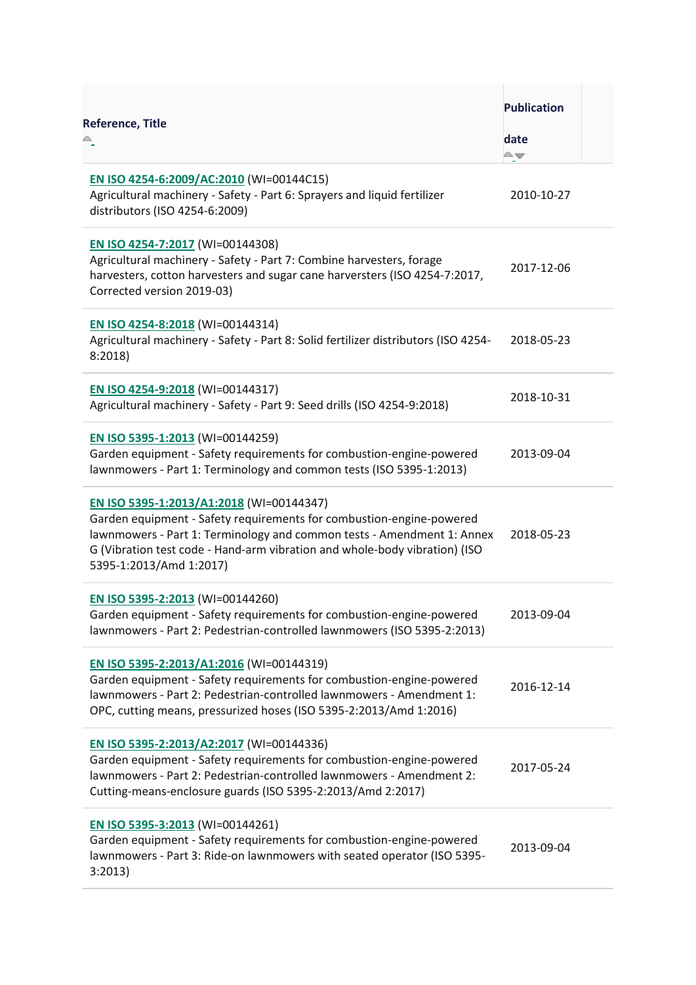| <b>Reference, Title</b>                                                                                                                                                                                                                                                                             | <b>Publication</b><br>date<br>A. |  |
|-----------------------------------------------------------------------------------------------------------------------------------------------------------------------------------------------------------------------------------------------------------------------------------------------------|----------------------------------|--|
| EN ISO 4254-6:2009/AC:2010 (WI=00144C15)<br>Agricultural machinery - Safety - Part 6: Sprayers and liquid fertilizer<br>distributors (ISO 4254-6:2009)                                                                                                                                              | 2010-10-27                       |  |
| EN ISO 4254-7:2017 (WI=00144308)<br>Agricultural machinery - Safety - Part 7: Combine harvesters, forage<br>harvesters, cotton harvesters and sugar cane harversters (ISO 4254-7:2017,<br>Corrected version 2019-03)                                                                                | 2017-12-06                       |  |
| EN ISO 4254-8:2018 (WI=00144314)<br>Agricultural machinery - Safety - Part 8: Solid fertilizer distributors (ISO 4254-<br>8:2018                                                                                                                                                                    | 2018-05-23                       |  |
| EN ISO 4254-9:2018 (WI=00144317)<br>Agricultural machinery - Safety - Part 9: Seed drills (ISO 4254-9:2018)                                                                                                                                                                                         | 2018-10-31                       |  |
| EN ISO 5395-1:2013 (WI=00144259)<br>Garden equipment - Safety requirements for combustion-engine-powered<br>lawnmowers - Part 1: Terminology and common tests (ISO 5395-1:2013)                                                                                                                     | 2013-09-04                       |  |
| EN ISO 5395-1:2013/A1:2018 (WI=00144347)<br>Garden equipment - Safety requirements for combustion-engine-powered<br>lawnmowers - Part 1: Terminology and common tests - Amendment 1: Annex<br>G (Vibration test code - Hand-arm vibration and whole-body vibration) (ISO<br>5395-1:2013/Amd 1:2017) | 2018-05-23                       |  |
| EN ISO 5395-2:2013 (WI=00144260)<br>Garden equipment - Safety requirements for combustion-engine-powered<br>lawnmowers - Part 2: Pedestrian-controlled lawnmowers (ISO 5395-2:2013)                                                                                                                 | 2013-09-04                       |  |
| EN ISO 5395-2:2013/A1:2016 (WI=00144319)<br>Garden equipment - Safety requirements for combustion-engine-powered<br>lawnmowers - Part 2: Pedestrian-controlled lawnmowers - Amendment 1:<br>OPC, cutting means, pressurized hoses (ISO 5395-2:2013/Amd 1:2016)                                      | 2016-12-14                       |  |
| EN ISO 5395-2:2013/A2:2017 (WI=00144336)<br>Garden equipment - Safety requirements for combustion-engine-powered<br>lawnmowers - Part 2: Pedestrian-controlled lawnmowers - Amendment 2:<br>Cutting-means-enclosure guards (ISO 5395-2:2013/Amd 2:2017)                                             | 2017-05-24                       |  |
| EN ISO 5395-3:2013 (WI=00144261)<br>Garden equipment - Safety requirements for combustion-engine-powered<br>lawnmowers - Part 3: Ride-on lawnmowers with seated operator (ISO 5395-<br>3:2013)                                                                                                      | 2013-09-04                       |  |